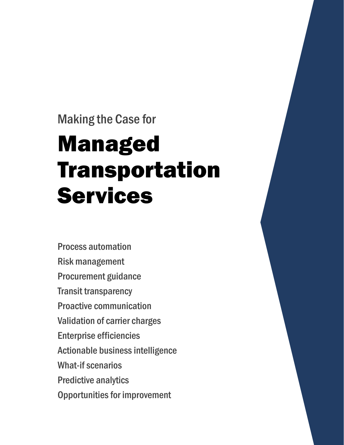### Making the Case for

# Managed Transportation Services

Process automation Risk management Procurement guidance Transit transparency Proactive communication Validation of carrier charges Enterprise efficiencies Actionable business intelligence What-if scenarios Predictive analytics Opportunities for improvement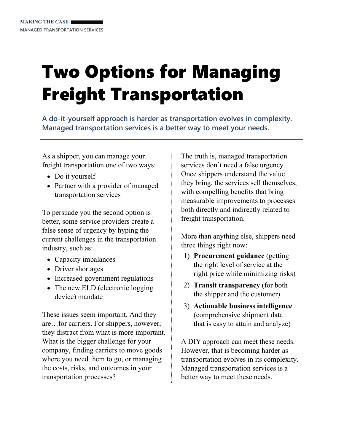# Two Options for Managing Freight Transportation

**A do-it-yourself approach is harder as transportation evolves in complexity. Managed transportation services is a better way to meet your needs.** 

As a shipper, you can manage your freight transportation one of two ways:

- Do it yourself
- Partner with a provider of managed transportation services

To persuade you the second option is better, some service providers create a false sense of urgency by hyping the current challenges in the transportation industry, such as:

- Capacity imbalances
- Driver shortages
- Increased government regulations
- The new ELD (electronic logging) device) mandate

These issues seem important. And they are…for carriers. For shippers, however, they distract from what is more important. What is the bigger challenge for your company, finding carriers to move goods where you need them to go, or managing the costs, risks, and outcomes in your transportation processes?

The truth is, managed transportation services don't need a false urgency. Once shippers understand the value they bring, the services sell themselves, with compelling benefits that bring measurable improvements to processes both directly and indirectly related to freight transportation.

More than anything else, shippers need three things right now:

- 1) **Procurement guidance** (getting the right level of service at the right price while minimizing risks)
- 2) **Transit transparency** (for both the shipper and the customer)
- 3) **Actionable business intelligence**  (comprehensive shipment data that is easy to attain and analyze)

A DIY approach can meet these needs. However, that is becoming harder as transportation evolves in its complexity. Managed transportation services is a better way to meet these needs.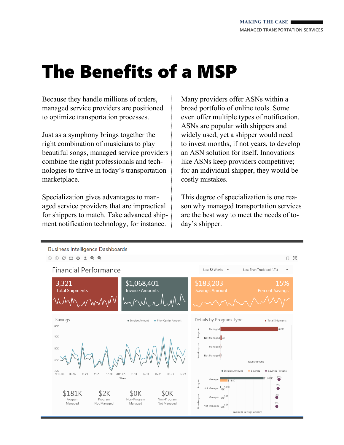### The Benefits of a MSP

Because they handle millions of orders, managed service providers are positioned to optimize transportation processes.

Just as a symphony brings together the right combination of musicians to play beautiful songs, managed service providers combine the right professionals and technologies to thrive in today's transportation marketplace.

Specialization gives advantages to managed service providers that are impractical for shippers to match. Take advanced shipment notification technology, for instance.

Many providers offer ASNs within a broad portfolio of online tools. Some even offer multiple types of notification. ASNs are popular with shippers and widely used, yet a shipper would need to invest months, if not years, to develop an ASN solution for itself. Innovations like ASNs keep providers competitive; for an individual shipper, they would be costly mistakes.

This degree of specialization is one reason why managed transportation services are the best way to meet the needs of today's shipper.

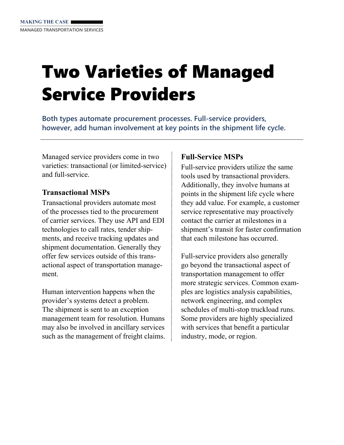# Two Varieties of Managed Service Providers

**Both types automate procurement processes. Full-service providers, however, add human involvement at key points in the shipment life cycle.** 

Managed service providers come in two varieties: transactional (or limited-service) and full-service.

### **Transactional MSPs**

Transactional providers automate most of the processes tied to the procurement of carrier services. They use API and EDI technologies to call rates, tender shipments, and receive tracking updates and shipment documentation. Generally they offer few services outside of this transactional aspect of transportation management.

Human intervention happens when the provider's systems detect a problem. The shipment is sent to an exception management team for resolution. Humans may also be involved in ancillary services such as the management of freight claims.

### **Full-Service MSPs**

Full-service providers utilize the same tools used by transactional providers. Additionally, they involve humans at points in the shipment life cycle where they add value. For example, a customer service representative may proactively contact the carrier at milestones in a shipment's transit for faster confirmation that each milestone has occurred.

Full-service providers also generally go beyond the transactional aspect of transportation management to offer more strategic services. Common examples are logistics analysis capabilities, network engineering, and complex schedules of multi-stop truckload runs. Some providers are highly specialized with services that benefit a particular industry, mode, or region.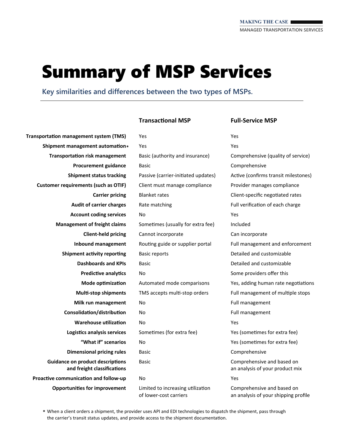### Summary of MSP Services

**Key similarities and differences between the two types of MSPs.** 

Yes

**TransportaƟon management system (TMS) Shipment management automaƟon \* TransportaƟon risk management Procurement guidance Shipment status tracking Customer requirements (such as OTIF) Carrier pricing Audit of carrier charges Account coding services Management of freight claims Client‐held pricing Inbound management Shipment activity reporting Dashboards and KPIs Predictive analytics Mode opƟmizaƟon MulƟ‐stop shipments Milk run management ConsolidaƟon/distribuƟon Warehouse utilization LogisƟcs analysis services "What if" scenarios Dimensional pricing rules Guidance on product descriptions and freight classificaƟons ProacƟve communicaƟon and follow‐up OpportuniƟes for improvement** 

### **TransacƟonal MSP Full‐Service MSP**

Yes Basic (authority and insurance) Basic Passive (carrier-initiated updates) Client must manage compliance Blanket rates Rate matching No Sometimes (usually for extra fee) Cannot incorporate Routing guide or supplier portal Basic reports Basic No Automated mode comparisons TMS accepts multi-stop orders No No No Sometimes (for extra fee) No Basic Basic No Limited to increasing utilization of lower‐cost carriers

Yes

Yes Comprehensive (quality of service) Comprehensive Active (confirms transit milestones) Provider manages compliance Client‐specific negoƟated rates Full verification of each charge Yes Included Can incorporate Full management and enforcement Detailed and customizable Detailed and customizable Some providers offer this Yes, adding human rate negotiations Full management of multiple stops Full management Full management Yes Yes (sometimes for extra fee) Yes (sometimes for extra fee) Comprehensive Comprehensive and based on an analysis of your product mix Yes Comprehensive and based on an analysis of your shipping profile

**\*** When a client orders a shipment, the provider uses API and EDI technologies to dispatch the shipment, pass through the carrier's transit status updates, and provide access to the shipment documentation.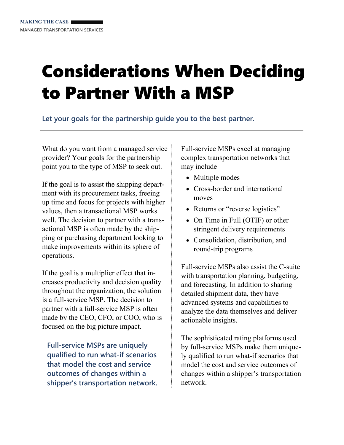## Considerations When Deciding to Partner With a MSP

**Let your goals for the partnership guide you to the best partner.** 

What do you want from a managed service provider? Your goals for the partnership point you to the type of MSP to seek out.

If the goal is to assist the shipping department with its procurement tasks, freeing up time and focus for projects with higher values, then a transactional MSP works well. The decision to partner with a transactional MSP is often made by the shipping or purchasing department looking to make improvements within its sphere of operations.

If the goal is a multiplier effect that increases productivity and decision quality throughout the organization, the solution is a full-service MSP. The decision to partner with a full-service MSP is often made by the CEO, CFO, or COO, who is focused on the big picture impact.

**Full-service MSPs are uniquely qualified to run what-if scenarios that model the cost and service outcomes of changes within a shipper's transportation network.**  Full-service MSPs excel at managing complex transportation networks that may include

- Multiple modes
- Cross-border and international moves
- Returns or "reverse logistics"
- On Time in Full (OTIF) or other stringent delivery requirements
- Consolidation, distribution, and round-trip programs

Full-service MSPs also assist the C-suite with transportation planning, budgeting, and forecasting. In addition to sharing detailed shipment data, they have advanced systems and capabilities to analyze the data themselves and deliver actionable insights.

The sophisticated rating platforms used by full-service MSPs make them uniquely qualified to run what-if scenarios that model the cost and service outcomes of changes within a shipper's transportation network.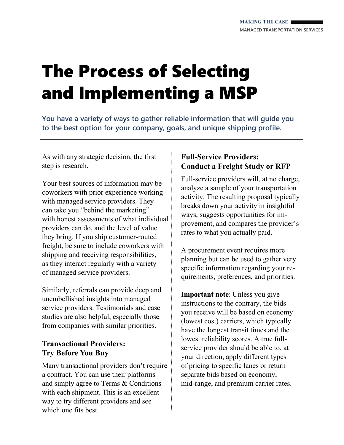# The Process of Selecting and Implementing a MSP

**You have a variety of ways to gather reliable information that will guide you to the best option for your company, goals, and unique shipping profile.** 

As with any strategic decision, the first step is research.

Your best sources of information may be coworkers with prior experience working with managed service providers. They can take you "behind the marketing" with honest assessments of what individual providers can do, and the level of value they bring. If you ship customer-routed freight, be sure to include coworkers with shipping and receiving responsibilities, as they interact regularly with a variety of managed service providers.

Similarly, referrals can provide deep and unembellished insights into managed service providers. Testimonials and case studies are also helpful, especially those from companies with similar priorities.

### **Transactional Providers: Try Before You Buy**

Many transactional providers don't require a contract. You can use their platforms and simply agree to Terms & Conditions with each shipment. This is an excellent way to try different providers and see which one fits best.

### **Full-Service Providers: Conduct a Freight Study or RFP**

Full-service providers will, at no charge, analyze a sample of your transportation activity. The resulting proposal typically breaks down your activity in insightful ways, suggests opportunities for improvement, and compares the provider's rates to what you actually paid.

A procurement event requires more planning but can be used to gather very specific information regarding your requirements, preferences, and priorities.

**Important note**: Unless you give instructions to the contrary, the bids you receive will be based on economy (lowest cost) carriers, which typically have the longest transit times and the lowest reliability scores. A true fullservice provider should be able to, at your direction, apply different types of pricing to specific lanes or return separate bids based on economy, mid-range, and premium carrier rates.